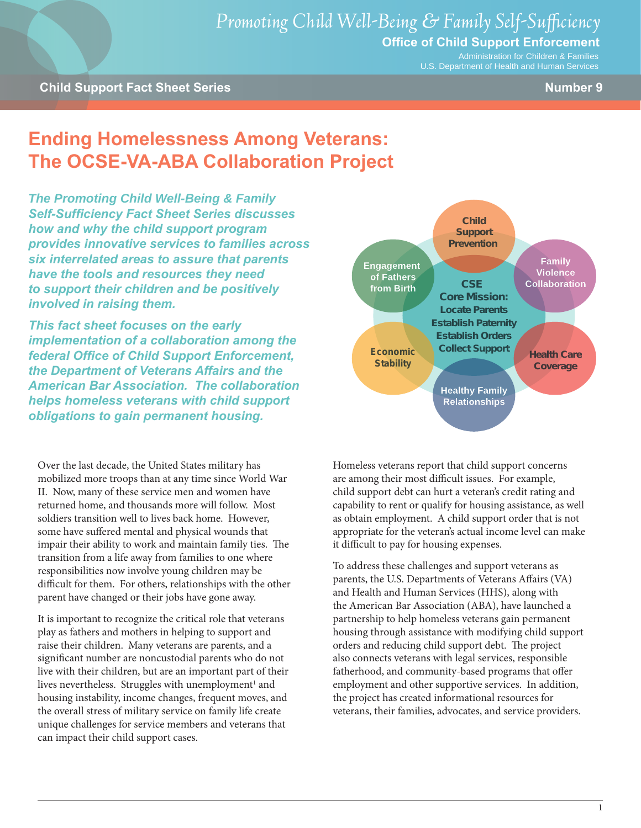Administration for Children & Families U.S. Department of Health and Human Services

# **Ending Homelessness Among Veterans: The OCSE-VA-ABA Collaboration Project**

*The Promoting Child Well-Being & Family Self-Sufficiency Fact Sheet Series discusses how and why the child support program provides innovative services to families across six interrelated areas to assure that parents have the tools and resources they need to support their children and be positively involved in raising them.* 

*This fact sheet focuses on the early implementation of a collaboration among the federal Office of Child Support Enforcement, the Department of Veterans Affairs and the American Bar Association. The collaboration helps homeless veterans with child support obligations to gain permanent housing.*

Over the last decade, the United States military has mobilized more troops than at any time since World War II. Now, many of these service men and women have returned home, and thousands more will follow. Most soldiers transition well to lives back home. However, some have suffered mental and physical wounds that impair their ability to work and maintain family ties. The transition from a life away from families to one where responsibilities now involve young children may be difficult for them. For others, relationships with the other parent have changed or their jobs have gone away.

It is important to recognize the critical role that veterans play as fathers and mothers in helping to support and raise their children. Many veterans are parents, and a significant number are noncustodial parents who do not live with their children, but are an important part of their lives nevertheless. Struggles with unemployment<sup>1</sup> and housing instability, income changes, frequent moves, and the overall stress of military service on family life create unique challenges for service members and veterans that can impact their child support cases.



Homeless veterans report that child support concerns are among their most difficult issues. For example, child support debt can hurt a veteran's credit rating and capability to rent or qualify for housing assistance, as well as obtain employment. A child support order that is not appropriate for the veteran's actual income level can make it difficult to pay for housing expenses.

To address these challenges and support veterans as parents, the U.S. Departments of Veterans Affairs (VA) and Health and Human Services (HHS), along with the American Bar Association (ABA), have launched a partnership to help homeless veterans gain permanent housing through assistance with modifying child support orders and reducing child support debt. The project also connects veterans with legal services, responsible fatherhood, and community-based programs that offer employment and other supportive services. In addition, the project has created informational resources for veterans, their families, advocates, and service providers.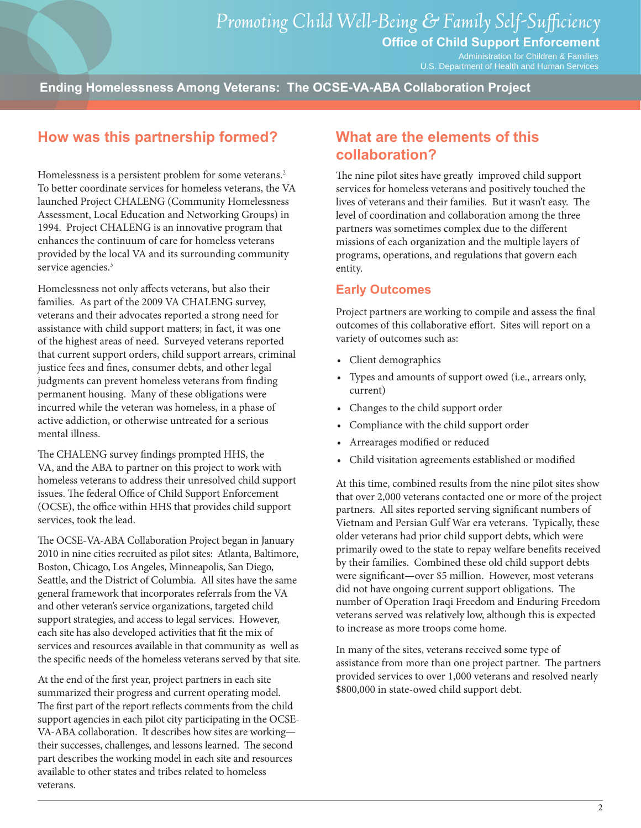Administration for Children & Families U.S. Department of Health and Human Services

**Ending Homelessness Among Veterans: The OCSE-VA-ABA Collaboration Project**

### **How was this partnership formed?**

Homelessness is a persistent problem for some veterans.<sup>2</sup> To better coordinate services for homeless veterans, the VA launched Project CHALENG (Community Homelessness Assessment, Local Education and Networking Groups) in 1994. Project CHALENG is an innovative program that enhances the continuum of care for homeless veterans provided by the local VA and its surrounding community service agencies.<sup>3</sup>

Homelessness not only affects veterans, but also their families. As part of the 2009 VA CHALENG survey, veterans and their advocates reported a strong need for assistance with child support matters; in fact, it was one of the highest areas of need. Surveyed veterans reported that current support orders, child support arrears, criminal justice fees and fines, consumer debts, and other legal judgments can prevent homeless veterans from finding permanent housing. Many of these obligations were incurred while the veteran was homeless, in a phase of active addiction, or otherwise untreated for a serious mental illness.

The CHALENG survey findings prompted HHS, the VA, and the ABA to partner on this project to work with homeless veterans to address their unresolved child support issues. The federal Office of Child Support Enforcement (OCSE), the office within HHS that provides child support services, took the lead.

The OCSE-VA-ABA Collaboration Project began in January 2010 in nine cities recruited as pilot sites: Atlanta, Baltimore, Boston, Chicago, Los Angeles, Minneapolis, San Diego, Seattle, and the District of Columbia. All sites have the same general framework that incorporates referrals from the VA and other veteran's service organizations, targeted child support strategies, and access to legal services. However, each site has also developed activities that fit the mix of services and resources available in that community as well as the specific needs of the homeless veterans served by that site.

At the end of the first year, project partners in each site summarized their progress and current operating model. The first part of the report reflects comments from the child support agencies in each pilot city participating in the OCSE-VA-ABA collaboration. It describes how sites are working their successes, challenges, and lessons learned. The second part describes the working model in each site and resources available to other states and tribes related to homeless veterans.

### **What are the elements of this collaboration?**

The nine pilot sites have greatly improved child support services for homeless veterans and positively touched the lives of veterans and their families. But it wasn't easy. The level of coordination and collaboration among the three partners was sometimes complex due to the different missions of each organization and the multiple layers of programs, operations, and regulations that govern each entity.

### **Early Outcomes**

Project partners are working to compile and assess the final outcomes of this collaborative effort. Sites will report on a variety of outcomes such as:

- • Client demographics
- • Types and amounts of support owed (i.e., arrears only, current)
- • Changes to the child support order
- • Compliance with the child support order
- • Arrearages modified or reduced
- • Child visitation agreements established or modified

At this time, combined results from the nine pilot sites show that over 2,000 veterans contacted one or more of the project partners. All sites reported serving significant numbers of Vietnam and Persian Gulf War era veterans. Typically, these older veterans had prior child support debts, which were primarily owed to the state to repay welfare benefits received by their families. Combined these old child support debts were significant—over \$5 million. However, most veterans did not have ongoing current support obligations. The number of Operation Iraqi Freedom and Enduring Freedom veterans served was relatively low, although this is expected to increase as more troops come home.

In many of the sites, veterans received some type of assistance from more than one project partner. The partners provided services to over 1,000 veterans and resolved nearly \$800,000 in state-owed child support debt.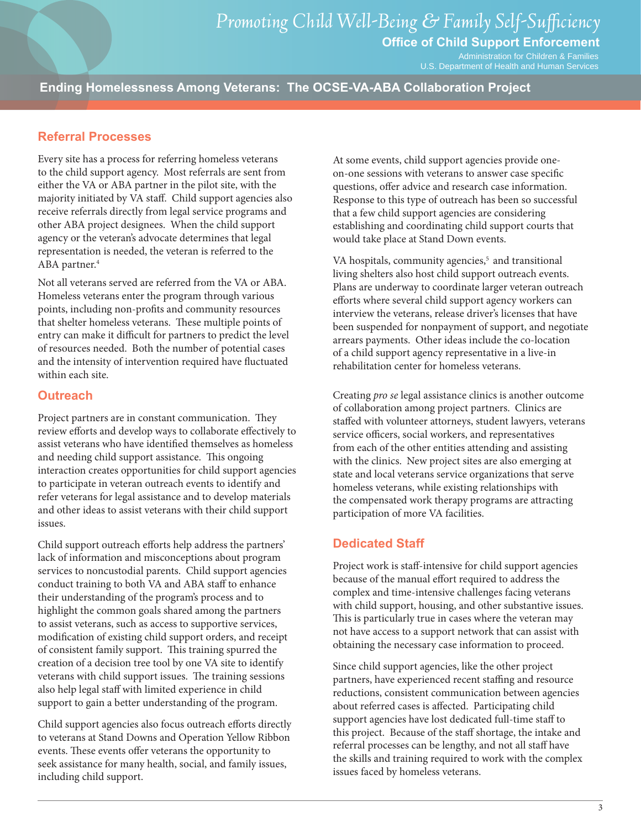Administration for Children & Families U.S. Department of Health and Human Services

**Ending Homelessness Among Veterans: The OCSE-VA-ABA Collaboration Project**

### **Referral Processes**

Every site has a process for referring homeless veterans to the child support agency. Most referrals are sent from either the VA or ABA partner in the pilot site, with the majority initiated by VA staff. Child support agencies also receive referrals directly from legal service programs and other ABA project designees. When the child support agency or the veteran's advocate determines that legal representation is needed, the veteran is referred to the ABA partner.<sup>4</sup>

Not all veterans served are referred from the VA or ABA. Homeless veterans enter the program through various points, including non-profits and community resources that shelter homeless veterans. These multiple points of entry can make it difficult for partners to predict the level of resources needed. Both the number of potential cases and the intensity of intervention required have fluctuated within each site.

#### **Outreach**

Project partners are in constant communication. They review efforts and develop ways to collaborate effectively to assist veterans who have identified themselves as homeless and needing child support assistance. This ongoing interaction creates opportunities for child support agencies to participate in veteran outreach events to identify and refer veterans for legal assistance and to develop materials and other ideas to assist veterans with their child support issues.

Child support outreach efforts help address the partners' lack of information and misconceptions about program services to noncustodial parents. Child support agencies conduct training to both VA and ABA staff to enhance their understanding of the program's process and to highlight the common goals shared among the partners to assist veterans, such as access to supportive services, modification of existing child support orders, and receipt of consistent family support. This training spurred the creation of a decision tree tool by one VA site to identify veterans with child support issues. The training sessions also help legal staff with limited experience in child support to gain a better understanding of the program.

Child support agencies also focus outreach efforts directly to veterans at Stand Downs and Operation Yellow Ribbon events. These events offer veterans the opportunity to seek assistance for many health, social, and family issues, including child support.

At some events, child support agencies provide oneon-one sessions with veterans to answer case specific questions, offer advice and research case information. Response to this type of outreach has been so successful that a few child support agencies are considering establishing and coordinating child support courts that would take place at Stand Down events.

VA hospitals, community agencies,<sup>5</sup> and transitional living shelters also host child support outreach events. Plans are underway to coordinate larger veteran outreach efforts where several child support agency workers can interview the veterans, release driver's licenses that have been suspended for nonpayment of support, and negotiate arrears payments. Other ideas include the co-location of a child support agency representative in a live-in rehabilitation center for homeless veterans.

Creating *pro se* legal assistance clinics is another outcome of collaboration among project partners. Clinics are staffed with volunteer attorneys, student lawyers, veterans service officers, social workers, and representatives from each of the other entities attending and assisting with the clinics. New project sites are also emerging at state and local veterans service organizations that serve homeless veterans, while existing relationships with the compensated work therapy programs are attracting participation of more VA facilities.

### **Dedicated Staff**

Project work is staff-intensive for child support agencies because of the manual effort required to address the complex and time-intensive challenges facing veterans with child support, housing, and other substantive issues. This is particularly true in cases where the veteran may not have access to a support network that can assist with obtaining the necessary case information to proceed.

Since child support agencies, like the other project partners, have experienced recent staffing and resource reductions, consistent communication between agencies about referred cases is affected. Participating child support agencies have lost dedicated full-time staff to this project. Because of the staff shortage, the intake and referral processes can be lengthy, and not all staff have the skills and training required to work with the complex issues faced by homeless veterans.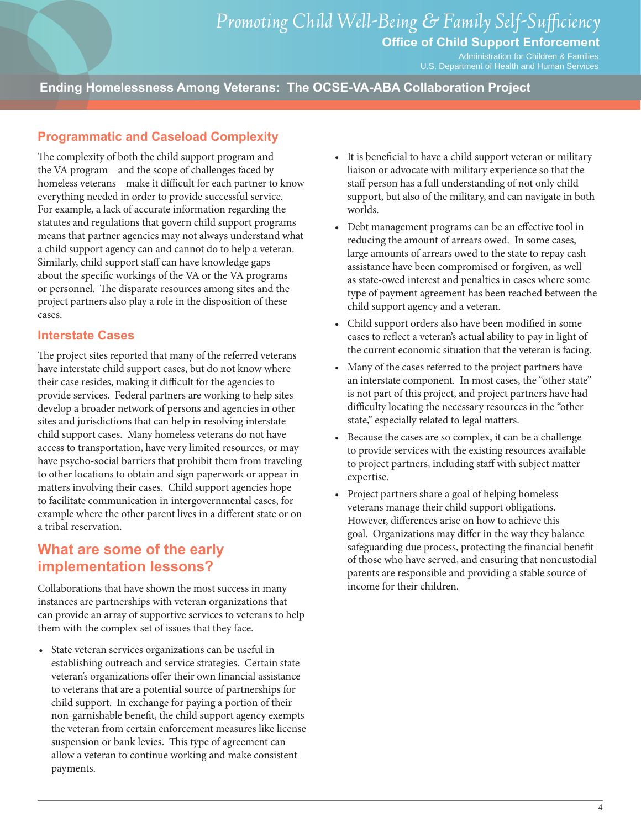Administration for Children & Families U.S. Department of Health and Human Services

**Ending Homelessness Among Veterans: The OCSE-VA-ABA Collaboration Project**

### **Programmatic and Caseload Complexity**

The complexity of both the child support program and the VA program—and the scope of challenges faced by homeless veterans—make it difficult for each partner to know everything needed in order to provide successful service. For example, a lack of accurate information regarding the statutes and regulations that govern child support programs means that partner agencies may not always understand what a child support agency can and cannot do to help a veteran. Similarly, child support staff can have knowledge gaps about the specific workings of the VA or the VA programs or personnel. The disparate resources among sites and the project partners also play a role in the disposition of these cases.

#### **Interstate Cases**

The project sites reported that many of the referred veterans have interstate child support cases, but do not know where their case resides, making it difficult for the agencies to provide services. Federal partners are working to help sites develop a broader network of persons and agencies in other sites and jurisdictions that can help in resolving interstate child support cases. Many homeless veterans do not have access to transportation, have very limited resources, or may have psycho-social barriers that prohibit them from traveling to other locations to obtain and sign paperwork or appear in matters involving their cases. Child support agencies hope to facilitate communication in intergovernmental cases, for example where the other parent lives in a different state or on a tribal reservation.

### **What are some of the early implementation lessons?**

Collaborations that have shown the most success in many instances are partnerships with veteran organizations that can provide an array of supportive services to veterans to help them with the complex set of issues that they face.

• State veteran services organizations can be useful in establishing outreach and service strategies. Certain state veteran's organizations offer their own financial assistance to veterans that are a potential source of partnerships for child support. In exchange for paying a portion of their non-garnishable benefit, the child support agency exempts the veteran from certain enforcement measures like license suspension or bank levies. This type of agreement can allow a veteran to continue working and make consistent payments.

- It is beneficial to have a child support veteran or military liaison or advocate with military experience so that the staff person has a full understanding of not only child support, but also of the military, and can navigate in both worlds.
- • Debt management programs can be an effective tool in reducing the amount of arrears owed. In some cases, large amounts of arrears owed to the state to repay cash assistance have been compromised or forgiven, as well as state-owed interest and penalties in cases where some type of payment agreement has been reached between the child support agency and a veteran.
- • Child support orders also have been modified in some cases to reflect a veteran's actual ability to pay in light of the current economic situation that the veteran is facing.
- Many of the cases referred to the project partners have an interstate component. In most cases, the "other state" is not part of this project, and project partners have had difficulty locating the necessary resources in the "other state," especially related to legal matters.
- • Because the cases are so complex, it can be a challenge to provide services with the existing resources available to project partners, including staff with subject matter expertise.
- Project partners share a goal of helping homeless veterans manage their child support obligations. However, differences arise on how to achieve this goal. Organizations may differ in the way they balance safeguarding due process, protecting the financial benefit of those who have served, and ensuring that noncustodial parents are responsible and providing a stable source of income for their children.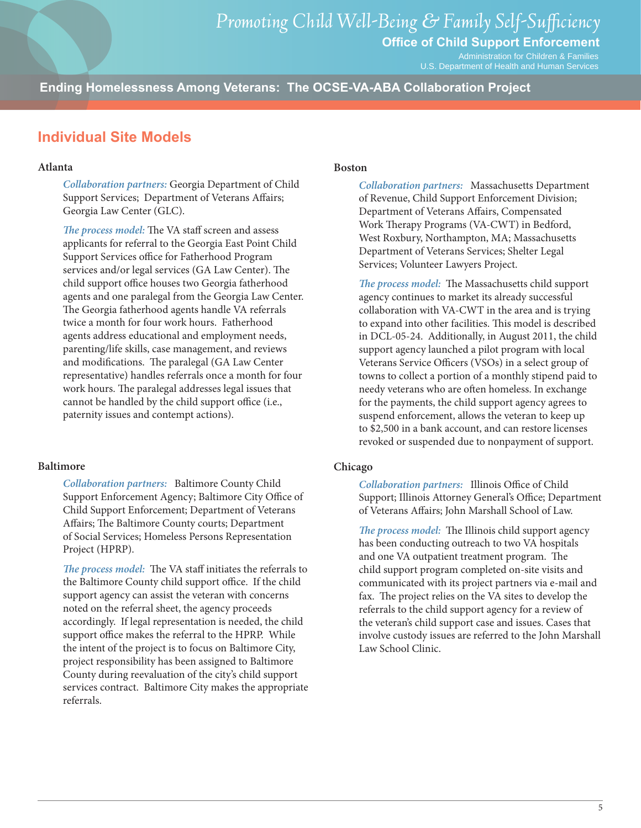Administration for Children & Families U.S. Department of Health and Human Services

**Ending Homelessness Among Veterans: The OCSE-VA-ABA Collaboration Project**

### **Individual Site Models**

#### **Atlanta**

*Collaboration partners:* Georgia Department of Child Support Services; Department of Veterans Affairs; Georgia Law Center (GLC).

*The process model:* The VA staff screen and assess applicants for referral to the Georgia East Point Child Support Services office for Fatherhood Program services and/or legal services (GA Law Center). The child support office houses two Georgia fatherhood agents and one paralegal from the Georgia Law Center. The Georgia fatherhood agents handle VA referrals twice a month for four work hours. Fatherhood agents address educational and employment needs, parenting/life skills, case management, and reviews and modifications. The paralegal (GA Law Center representative) handles referrals once a month for four work hours. The paralegal addresses legal issues that cannot be handled by the child support office (i.e., paternity issues and contempt actions).

#### **Baltimore**

*Collaboration partners:* Baltimore County Child Support Enforcement Agency; Baltimore City Office of Child Support Enforcement; Department of Veterans Affairs; The Baltimore County courts; Department of Social Services; Homeless Persons Representation Project (HPRP).

*The process model:* The VA staff initiates the referrals to the Baltimore County child support office. If the child support agency can assist the veteran with concerns noted on the referral sheet, the agency proceeds accordingly. If legal representation is needed, the child support office makes the referral to the HPRP. While the intent of the project is to focus on Baltimore City, project responsibility has been assigned to Baltimore County during reevaluation of the city's child support services contract. Baltimore City makes the appropriate referrals.

#### **Boston**

*Collaboration partners:* Massachusetts Department of Revenue, Child Support Enforcement Division; Department of Veterans Affairs, Compensated Work Therapy Programs (VA-CWT) in Bedford, West Roxbury, Northampton, MA; Massachusetts Department of Veterans Services; Shelter Legal Services; Volunteer Lawyers Project.

*The process model:* The Massachusetts child support agency continues to market its already successful collaboration with VA-CWT in the area and is trying to expand into other facilities. This model is described in [DCL-05-24.](http://www.acf.hhs.gov/programs/cse/pol/DCL/2005/dcl-05-24.htm) Additionally, in August 2011, the child support agency launched a pilot program with local Veterans Service Officers (VSOs) in a select group of towns to collect a portion of a monthly stipend paid to needy veterans who are often homeless. In exchange for the payments, the child support agency agrees to suspend enforcement, allows the veteran to keep up to \$2,500 in a bank account, and can restore licenses revoked or suspended due to nonpayment of support.

#### **Chicago**

*Collaboration partners:* Illinois Office of Child Support; Illinois Attorney General's Office; Department of Veterans Affairs; John Marshall School of Law.

*The process model:* The Illinois child support agency has been conducting outreach to two VA hospitals and one VA outpatient treatment program. The child support program completed on-site visits and communicated with its project partners via e-mail and fax. The project relies on the VA sites to develop the referrals to the child support agency for a review of the veteran's child support case and issues. Cases that involve custody issues are referred to the John Marshall Law School Clinic.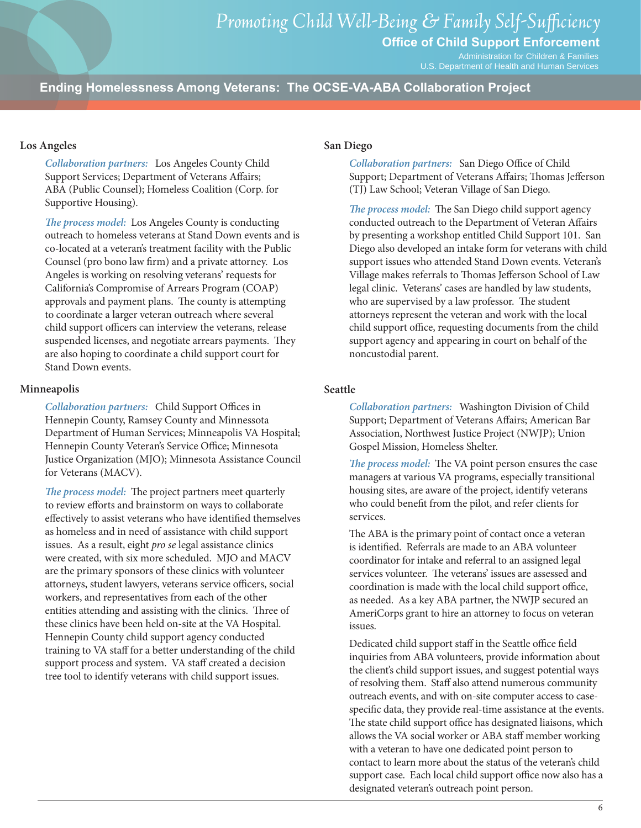Administration for Children & Families U.S. Department of Health and Human Services

**Ending Homelessness Among Veterans: The OCSE-VA-ABA Collaboration Project**

#### **Los Angeles**

*Collaboration partners:* Los Angeles County Child Support Services; Department of Veterans Affairs; ABA (Public Counsel); Homeless Coalition (Corp. for Supportive Housing).

*The process model:* Los Angeles County is conducting outreach to homeless veterans at Stand Down events and is co-located at a veteran's treatment facility with the Public Counsel (pro bono law firm) and a private attorney. Los Angeles is working on resolving veterans' requests for California's Compromise of Arrears Program (COAP) approvals and payment plans. The county is attempting to coordinate a larger veteran outreach where several child support officers can interview the veterans, release suspended licenses, and negotiate arrears payments. They are also hoping to coordinate a child support court for Stand Down events.

#### **Minneapolis**

*Collaboration partners:* Child Support Offices in Hennepin County, Ramsey County and Minnessota Department of Human Services; Minneapolis VA Hospital; Hennepin County Veteran's Service Office; Minnesota Justice Organization (MJO); Minnesota Assistance Council for Veterans (MACV).

*The process model:* The project partners meet quarterly to review efforts and brainstorm on ways to collaborate effectively to assist veterans who have identified themselves as homeless and in need of assistance with child support issues. As a result, eight *pro se* legal assistance clinics were created, with six more scheduled. MJO and MACV are the primary sponsors of these clinics with volunteer attorneys, student lawyers, veterans service officers, social workers, and representatives from each of the other entities attending and assisting with the clinics. Three of these clinics have been held on-site at the VA Hospital. Hennepin County child support agency conducted training to VA staff for a better understanding of the child support process and system. VA staff created a decision tree tool to identify veterans with child support issues.

#### **San Diego**

*Collaboration partners:* San Diego Office of Child Support; Department of Veterans Affairs; Thomas Jefferson (TJ) Law School; Veteran Village of San Diego.

*The process model:* The San Diego child support agency conducted outreach to the Department of Veteran Affairs by presenting a workshop entitled Child Support 101. San Diego also developed an intake form for veterans with child support issues who attended Stand Down events. Veteran's Village makes referrals to Thomas Jefferson School of Law legal clinic. Veterans' cases are handled by law students, who are supervised by a law professor. The student attorneys represent the veteran and work with the local child support office, requesting documents from the child support agency and appearing in court on behalf of the noncustodial parent.

#### **Seattle**

*Collaboration partners:* Washington Division of Child Support; Department of Veterans Affairs; American Bar Association, Northwest Justice Project (NWJP); Union Gospel Mission, Homeless Shelter.

*The process model:* The VA point person ensures the case managers at various VA programs, especially transitional housing sites, are aware of the project, identify veterans who could benefit from the pilot, and refer clients for services.

The ABA is the primary point of contact once a veteran is identified. Referrals are made to an ABA volunteer coordinator for intake and referral to an assigned legal services volunteer. The veterans' issues are assessed and coordination is made with the local child support office, as needed. As a key ABA partner, the NWJP secured an AmeriCorps grant to hire an attorney to focus on veteran issues.

Dedicated child support staff in the Seattle office field inquiries from ABA volunteers, provide information about the client's child support issues, and suggest potential ways of resolving them. Staff also attend numerous community outreach events, and with on-site computer access to casespecific data, they provide real-time assistance at the events. The state child support office has designated liaisons, which allows the VA social worker or ABA staff member working with a veteran to have one dedicated point person to contact to learn more about the status of the veteran's child support case. Each local child support office now also has a designated veteran's outreach point person.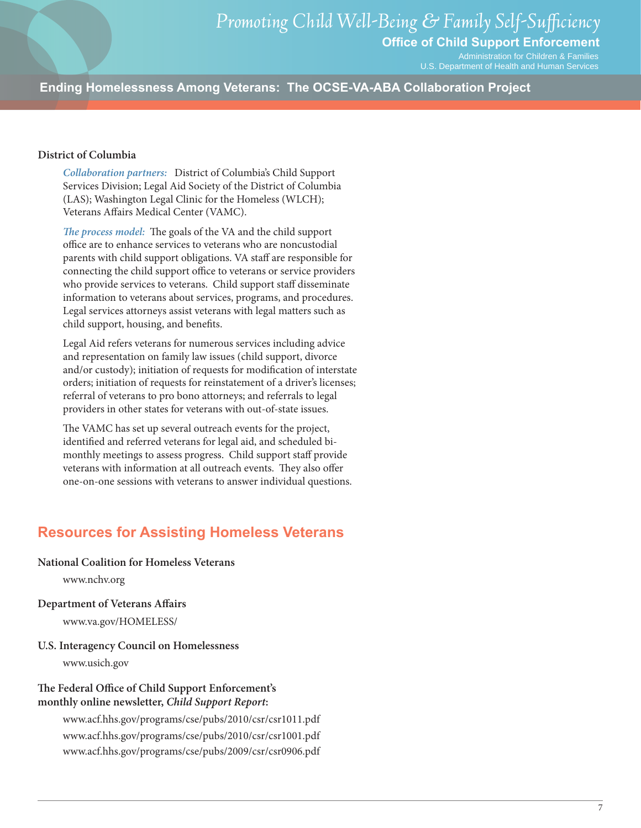Administration for Children & Families

U.S. Department of Health and Human Services

**Ending Homelessness Among Veterans: The OCSE-VA-ABA Collaboration Project**

#### **District of Columbia**

*Collaboration partners:* District of Columbia's Child Support Services Division; Legal Aid Society of the District of Columbia (LAS); Washington Legal Clinic for the Homeless (WLCH); Veterans Affairs Medical Center (VAMC).

*The process model:* The goals of the VA and the child support office are to enhance services to veterans who are noncustodial parents with child support obligations. VA staff are responsible for connecting the child support office to veterans or service providers who provide services to veterans. Child support staff disseminate information to veterans about services, programs, and procedures. Legal services attorneys assist veterans with legal matters such as child support, housing, and benefits.

Legal Aid refers veterans for numerous services including advice and representation on family law issues (child support, divorce and/or custody); initiation of requests for modification of interstate orders; initiation of requests for reinstatement of a driver's licenses; referral of veterans to pro bono attorneys; and referrals to legal providers in other states for veterans with out-of-state issues.

The VAMC has set up several outreach events for the project, identified and referred veterans for legal aid, and scheduled bimonthly meetings to assess progress. Child support staff provide veterans with information at all outreach events. They also offer one-on-one sessions with veterans to answer individual questions.

### **Resources for Assisting Homeless Veterans**

**National Coalition for Homeless Veterans**

[www.nchv.org](http://www.nchv.org)

- **Department of Veterans Affairs**  [www.va.gov/HOMELESS/](http://www.va.gov/HOMELESS/)
- **U.S. Interagency Council on Homelessness**

[www.usich.gov](http://www.usich.gov)

#### **The Federal Office of Child Support Enforcement's monthly online newsletter,** *Child Support Report***:**

[www.acf.hhs.gov/programs/cse/pubs/2010/csr/csr1011.pdf](http://www.acf.hhs.gov/programs/cse/pubs/2010/csr/csr1011.pdf) [www.acf.hhs.gov/programs/cse/pubs/2010/csr/csr1001.pdf](http://www.acf.hhs.gov/programs/cse/pubs/2010/csr/csr1001.pdf) [www.acf.hhs.gov/programs/cse/pubs/2009/csr/csr0906.pdf](http://www.acf.hhs.gov/programs/cse/pubs/2009/csr/csr0906.pdf)